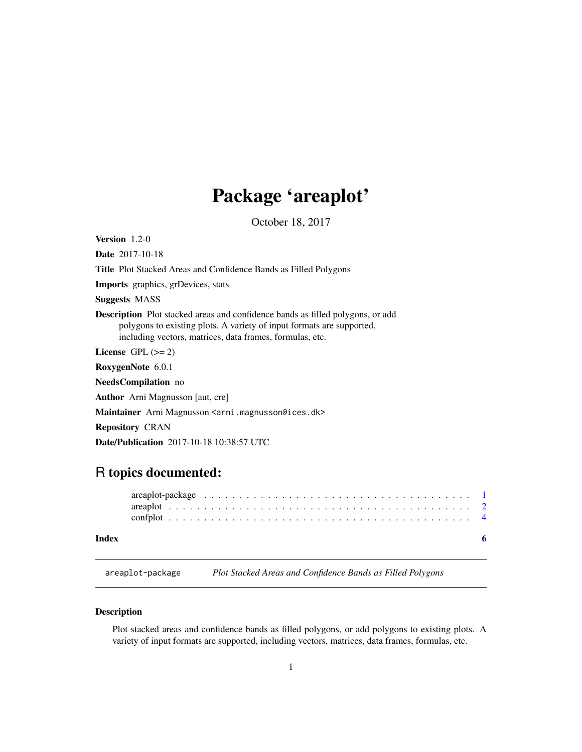## Package 'areaplot'

October 18, 2017

<span id="page-0-1"></span><span id="page-0-0"></span>

| <b>Version</b> $1.2-0$                                                                                                                                                                                                     |
|----------------------------------------------------------------------------------------------------------------------------------------------------------------------------------------------------------------------------|
| <b>Date</b> 2017-10-18                                                                                                                                                                                                     |
| Title Plot Stacked Areas and Confidence Bands as Filled Polygons                                                                                                                                                           |
| <b>Imports</b> graphics, grDevices, stats                                                                                                                                                                                  |
| <b>Suggests MASS</b>                                                                                                                                                                                                       |
| <b>Description</b> Plot stacked areas and confidence bands as filled polygons, or add<br>polygons to existing plots. A variety of input formats are supported,<br>including vectors, matrices, data frames, formulas, etc. |
| License $GPL (= 2)$                                                                                                                                                                                                        |
| RoxygenNote 6.0.1                                                                                                                                                                                                          |
| <b>NeedsCompilation</b> no                                                                                                                                                                                                 |
| <b>Author</b> Arni Magnusson [aut, cre]                                                                                                                                                                                    |
| Maintainer Arni Magnusson <arni.magnusson@ices.dk></arni.magnusson@ices.dk>                                                                                                                                                |
| <b>Repository CRAN</b>                                                                                                                                                                                                     |
| <b>Date/Publication</b> 2017-10-18 10:38:57 UTC                                                                                                                                                                            |

### R topics documented:

#### **Index** [6](#page-5-0) **6**

<span id="page-0-2"></span>areaplot-package *Plot Stacked Areas and Confidence Bands as Filled Polygons*

#### Description

Plot stacked areas and confidence bands as filled polygons, or add polygons to existing plots. A variety of input formats are supported, including vectors, matrices, data frames, formulas, etc.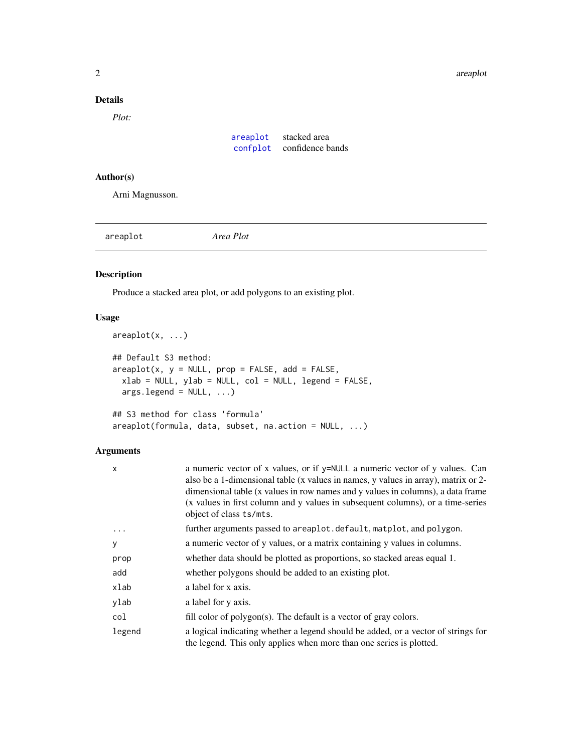#### <span id="page-1-0"></span>Details

*Plot:*

| areaplot | stacked area     |
|----------|------------------|
| confplot | confidence bands |

#### Author(s)

Arni Magnusson.

<span id="page-1-1"></span>areaplot *Area Plot*

#### Description

Produce a stacked area plot, or add polygons to an existing plot.

#### Usage

```
areaplot(x, ...)
## Default S3 method:
areaplot(x, y = NULL, prop = FALSE, add = FALSE,xlab = NULL, ylab = NULL, col = NULL, legend = FALSE,
 args.length = NULL, ...)## S3 method for class 'formula'
areaplot(formula, data, subset, na.action = NULL, ...)
```
#### Arguments

| x        | a numeric vector of x values, or if y=NULL a numeric vector of y values. Can<br>also be a 1-dimensional table (x values in names, y values in array), matrix or 2-<br>dimensional table (x values in row names and y values in columns), a data frame<br>(x values in first column and y values in subsequent columns), or a time-series<br>object of class ts/mts. |
|----------|---------------------------------------------------------------------------------------------------------------------------------------------------------------------------------------------------------------------------------------------------------------------------------------------------------------------------------------------------------------------|
| $\ddots$ | further arguments passed to areaplot.default, matplot, and polygon.                                                                                                                                                                                                                                                                                                 |
| у        | a numeric vector of y values, or a matrix containing y values in columns.                                                                                                                                                                                                                                                                                           |
| prop     | whether data should be plotted as proportions, so stacked areas equal 1.                                                                                                                                                                                                                                                                                            |
| add      | whether polygons should be added to an existing plot.                                                                                                                                                                                                                                                                                                               |
| xlab     | a label for x axis.                                                                                                                                                                                                                                                                                                                                                 |
| ylab     | a label for y axis.                                                                                                                                                                                                                                                                                                                                                 |
| col      | fill color of polygon(s). The default is a vector of gray colors.                                                                                                                                                                                                                                                                                                   |
| legend   | a logical indicating whether a legend should be added, or a vector of strings for<br>the legend. This only applies when more than one series is plotted.                                                                                                                                                                                                            |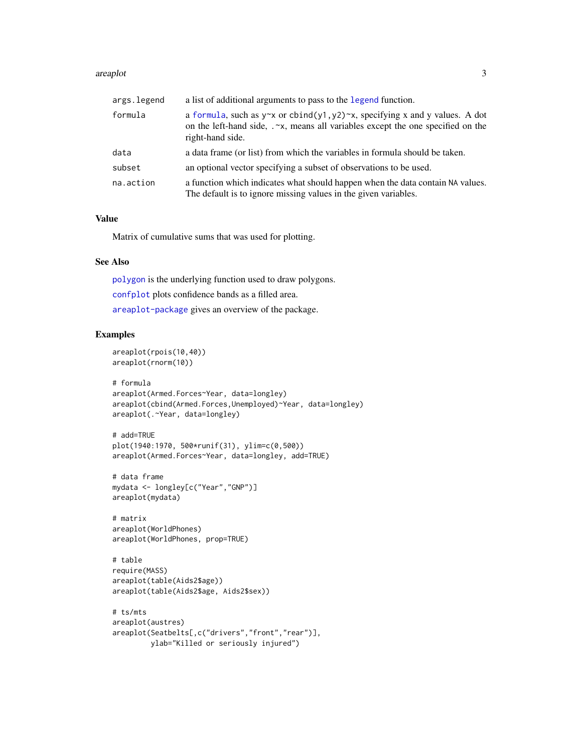#### <span id="page-2-0"></span>are applot that  $\frac{3}{2}$

| args.legend | a list of additional arguments to pass to the legend function.                                                                                                                                     |
|-------------|----------------------------------------------------------------------------------------------------------------------------------------------------------------------------------------------------|
| formula     | a formula, such as $y \sim x$ or cbind(y1, y2) $\sim x$ , specifying x and y values. A dot<br>on the left-hand side, .~ x, means all variables except the one specified on the<br>right-hand side. |
| data        | a data frame (or list) from which the variables in formula should be taken.                                                                                                                        |
| subset      | an optional vector specifying a subset of observations to be used.                                                                                                                                 |
| na.action   | a function which indicates what should happen when the data contain NA values.<br>The default is to ignore missing values in the given variables.                                                  |

#### Value

Matrix of cumulative sums that was used for plotting.

#### See Also

[polygon](#page-0-1) is the underlying function used to draw polygons. [confplot](#page-3-1) plots confidence bands as a filled area.

[areaplot-package](#page-0-2) gives an overview of the package.

#### Examples

```
areaplot(rpois(10,40))
areaplot(rnorm(10))
```

```
# formula
areaplot(Armed.Forces~Year, data=longley)
areaplot(cbind(Armed.Forces,Unemployed)~Year, data=longley)
areaplot(.~Year, data=longley)
```

```
# add=TRUE
plot(1940:1970, 500*runif(31), ylim=c(0,500))
areaplot(Armed.Forces~Year, data=longley, add=TRUE)
```

```
# data frame
mydata <- longley[c("Year","GNP")]
areaplot(mydata)
```

```
# matrix
areaplot(WorldPhones)
areaplot(WorldPhones, prop=TRUE)
```

```
# table
require(MASS)
areaplot(table(Aids2$age))
areaplot(table(Aids2$age, Aids2$sex))
```

```
# ts/mts
areaplot(austres)
areaplot(Seatbelts[,c("drivers","front","rear")],
        ylab="Killed or seriously injured")
```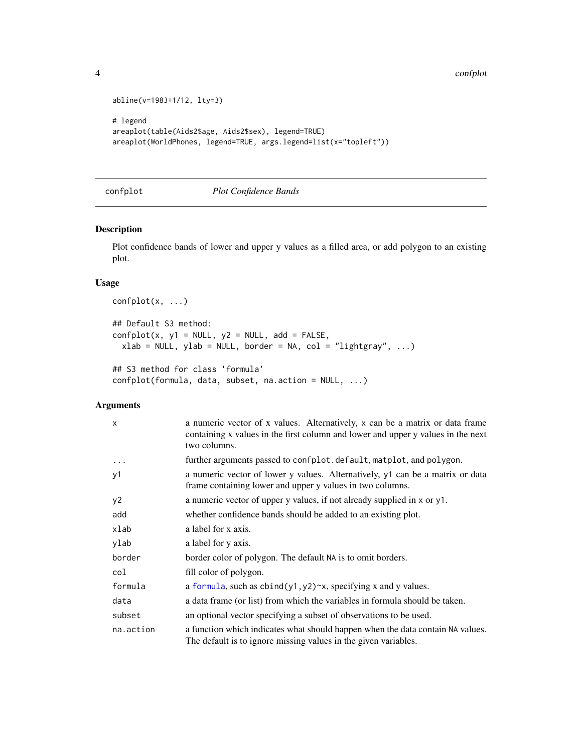```
abline(v=1983+1/12, lty=3)
# legend
areaplot(table(Aids2$age, Aids2$sex), legend=TRUE)
areaplot(WorldPhones, legend=TRUE, args.legend=list(x="topleft"))
```
#### <span id="page-3-1"></span>confplot *Plot Confidence Bands*

#### Description

Plot confidence bands of lower and upper y values as a filled area, or add polygon to an existing plot.

#### Usage

```
confplot(x, ...)
## Default S3 method:
confplot(x, y1 = NULL, y2 = NULL, add = FALSE,xlab = NULL, ylab = NULL, border = NA, col = "lightgray", ...)## S3 method for class 'formula'
confplot(formula, data, subset, na.action = NULL, ...)
```
#### Arguments

| $\times$  | a numeric vector of x values. Alternatively, x can be a matrix or data frame<br>containing x values in the first column and lower and upper y values in the next<br>two columns. |
|-----------|----------------------------------------------------------------------------------------------------------------------------------------------------------------------------------|
| $\cdots$  | further arguments passed to confplot.default, matplot, and polygon.                                                                                                              |
| y1        | a numeric vector of lower y values. Alternatively, y1 can be a matrix or data<br>frame containing lower and upper y values in two columns.                                       |
| y2        | a numeric vector of upper y values, if not already supplied in x or y1.                                                                                                          |
| add       | whether confidence bands should be added to an existing plot.                                                                                                                    |
| xlab      | a label for x axis.                                                                                                                                                              |
| ylab      | a label for y axis.                                                                                                                                                              |
| border    | border color of polygon. The default NA is to omit borders.                                                                                                                      |
| col       | fill color of polygon.                                                                                                                                                           |
| formula   | a formula, such as $cbind(y1, y2) \sim x$ , specifying x and y values.                                                                                                           |
| data      | a data frame (or list) from which the variables in formula should be taken.                                                                                                      |
| subset    | an optional vector specifying a subset of observations to be used.                                                                                                               |
| na.action | a function which indicates what should happen when the data contain NA values.<br>The default is to ignore missing values in the given variables.                                |

<span id="page-3-0"></span>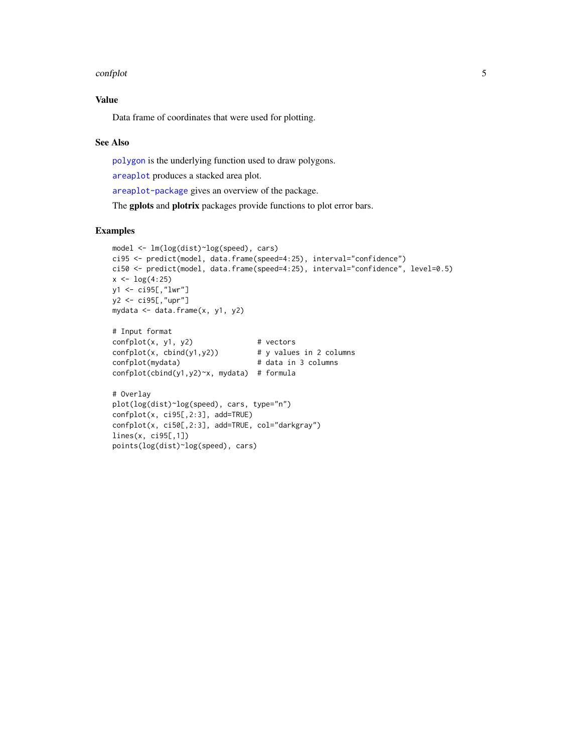#### <span id="page-4-0"></span>confplot 5

#### Value

Data frame of coordinates that were used for plotting.

#### See Also

[polygon](#page-0-1) is the underlying function used to draw polygons.

[areaplot](#page-1-1) produces a stacked area plot.

[areaplot-package](#page-0-2) gives an overview of the package.

The gplots and plotrix packages provide functions to plot error bars.

#### Examples

```
model <- lm(log(dist)~log(speed), cars)
ci95 <- predict(model, data.frame(speed=4:25), interval="confidence")
ci50 <- predict(model, data.frame(speed=4:25), interval="confidence", level=0.5)
x \leftarrow \log(4:25)y1 <- ci95[,"lwr"]
y2 <- ci95[,"upr"]
mydata <- data.frame(x, y1, y2)
# Input format
confplot(x, y1, y2) # vectors
confplot(x, chind(y1,y2)) # y values in 2 columns
confplot(mydata) # data in 3 columns
confplot(cbind(y1,y2)~x, mydata) # formula
# Overlay
plot(log(dist)~log(speed), cars, type="n")
confplot(x, ci95[,2:3], add=TRUE)
confplot(x, ci50[,2:3], add=TRUE, col="darkgray")
lines(x, ci95[,1])
points(log(dist)~log(speed), cars)
```